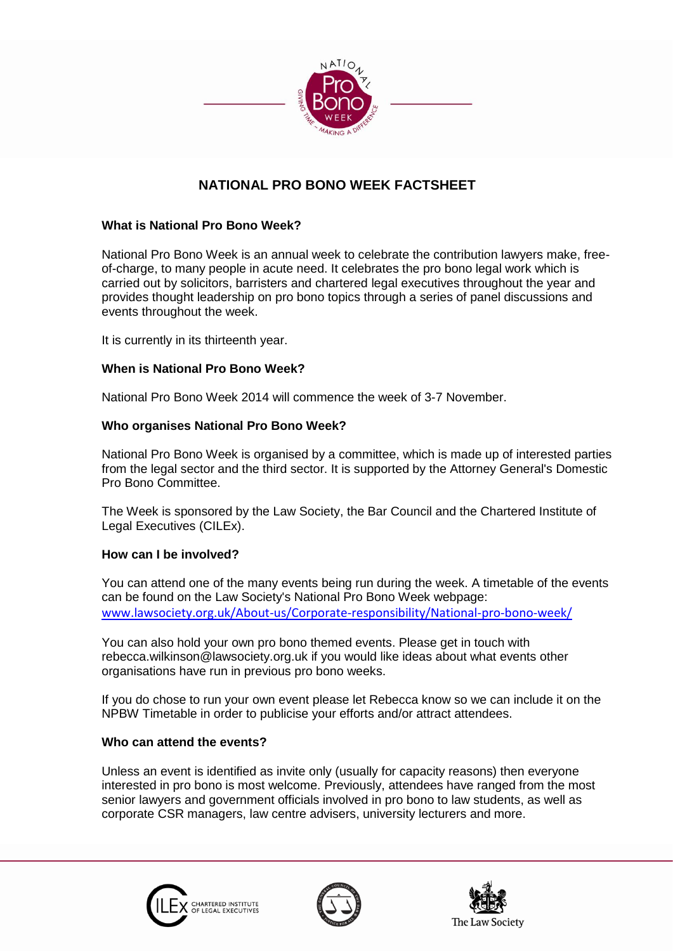

# **NATIONAL PRO BONO WEEK FACTSHEET**

#### **What is National Pro Bono Week?**

National Pro Bono Week is an annual week to celebrate the contribution lawyers make, freeof-charge, to many people in acute need. It celebrates the pro bono legal work which is carried out by solicitors, barristers and chartered legal executives throughout the year and provides thought leadership on pro bono topics through a series of panel discussions and events throughout the week.

It is currently in its thirteenth year.

#### **When is National Pro Bono Week?**

National Pro Bono Week 2014 will commence the week of 3-7 November.

#### **Who organises National Pro Bono Week?**

National Pro Bono Week is organised by a committee, which is made up of interested parties from the legal sector and the third sector. It is supported by the Attorney General's Domestic Pro Bono Committee.

The Week is sponsored by the Law Society, the Bar Council and the Chartered Institute of Legal Executives (CILEx).

#### **How can I be involved?**

You can attend one of the many events being run during the week. A timetable of the events can be found on the Law Society's National Pro Bono Week webpage: [www.lawsociety.org.uk/About-us/Corporate-responsibility/National-pro-bono-week/](http://www.lawsociety.org.uk/About-us/Corporate-responsibility/National-pro-bono-week/)

You can also hold your own pro bono themed events. Please get in touch with rebecca.wilkinson@lawsociety.org.uk if you would like ideas about what events other organisations have run in previous pro bono weeks.

If you do chose to run your own event please let Rebecca know so we can include it on the NPBW Timetable in order to publicise your efforts and/or attract attendees.

#### **Who can attend the events?**

Unless an event is identified as invite only (usually for capacity reasons) then everyone interested in pro bono is most welcome. Previously, attendees have ranged from the most senior lawyers and government officials involved in pro bono to law students, as well as corporate CSR managers, law centre advisers, university lecturers and more.